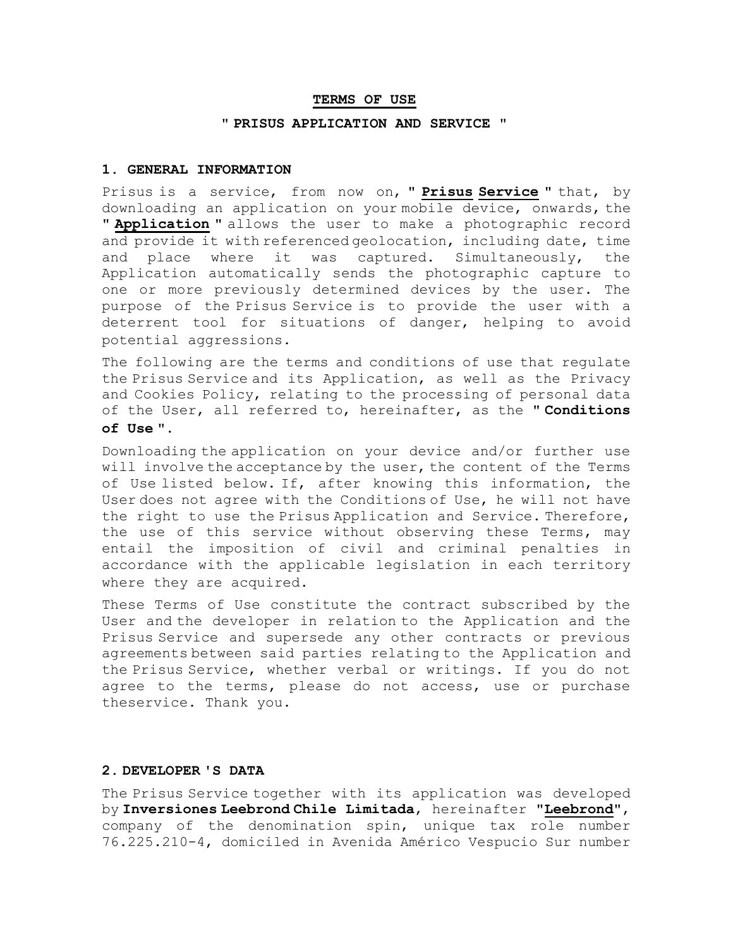#### **TERMS OF USE**

#### **" PRISUS APPLICATION AND SERVICE "**

### **1. GENERAL INFORMATION**

Prisus is a service, from now on, **" Prisus Service "** that, by downloading an application on your mobile device, onwards, the **" Application "** allows the user to make a photographic record and provide it with referenced geolocation, including date, time and place where it was captured. Simultaneously, the Application automatically sends the photographic capture to one or more previously determined devices by the user. The purpose of the Prisus Service is to provide the user with a deterrent tool for situations of danger, helping to avoid potential aggressions.

The following are the terms and conditions of use that regulate the Prisus Service and its Application, as well as the Privacy and Cookies Policy, relating to the processing of personal data of the User, all referred to, hereinafter, as the " **Conditions of Use** ".

Downloading the application on your device and/or further use will involve the acceptance by the user, the content of the Terms of Use listed below. If, after knowing this information, the User does not agree with the Conditions of Use, he will not have the right to use the Prisus Application and Service. Therefore, the use of this service without observing these Terms, may entail the imposition of civil and criminal penalties in accordance with the applicable legislation in each territory where they are acquired.

These Terms of Use constitute the contract subscribed by the User and the developer in relation to the Application and the Prisus Service and supersede any other contracts or previous agreements between said parties relating to the Application and the Prisus Service, whether verbal or writings. If you do not agree to the terms, please do not access, use or purchase theservice. Thank you.

#### **2. DEVELOPER 'S DATA**

The Prisus Service together with its application was developed by **Inversiones Leebrond Chile Limitada**, hereinafter "**Leebrond**", company of the denomination spin, unique tax role number 76.225.210-4, domiciled in Avenida Américo Vespucio Sur number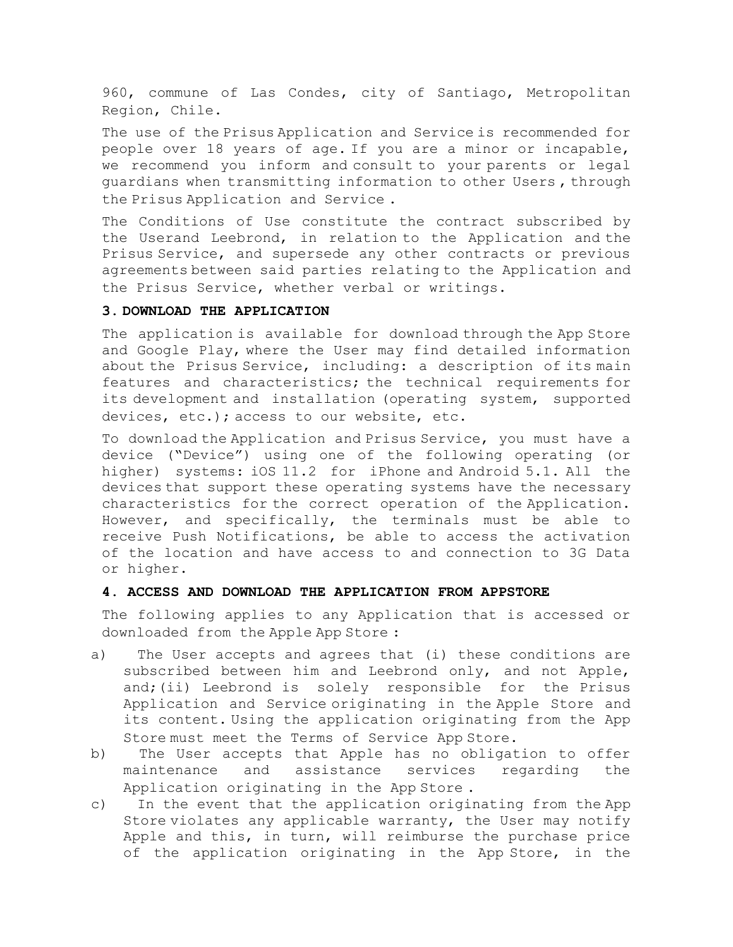960, commune of Las Condes, city of Santiago, Metropolitan Region, Chile.

The use of the Prisus Application and Service is recommended for people over 18 years of age. If you are a minor or incapable, we recommend you inform and consult to your parents or legal guardians when transmitting information to other Users , through the Prisus Application and Service .

The Conditions of Use constitute the contract subscribed by the Userand Leebrond, in relation to the Application and the Prisus Service, and supersede any other contracts or previous agreements between said parties relating to the Application and the Prisus Service, whether verbal or writings.

# **3. DOWNLOAD THE APPLICATION**

The application is available for download through the App Store and Google Play, where the User may find detailed information about the Prisus Service, including: a description of its main features and characteristics; the technical requirements for its development and installation (operating system, supported devices, etc.); access to our website, etc.

To download the Application and Prisus Service, you must have a device ("Device") using one of the following operating (or higher) systems: iOS 11.2 for iPhone and Android 5.1. All the devices that support these operating systems have the necessary characteristics for the correct operation of the Application. However, and specifically, the terminals must be able to receive Push Notifications, be able to access the activation of the location and have access to and connection to 3G Data or higher.

# **4. ACCESS AND DOWNLOAD THE APPLICATION FROM APPSTORE**

The following applies to any Application that is accessed or downloaded from the Apple App Store :

- a) The User accepts and agrees that (i) these conditions are subscribed between him and Leebrond only, and not Apple, and;(ii) Leebrond is solely responsible for the Prisus Application and Service originating in the Apple Store and its content. Using the application originating from the App Store must meet the Terms of Service App Store.
- b) The User accepts that Apple has no obligation to offer maintenance and assistance services regarding the Application originating in the App Store .
- c) In the event that the application originating from the App Store violates any applicable warranty, the User may notify Apple and this, in turn, will reimburse the purchase price of the application originating in the App Store, in the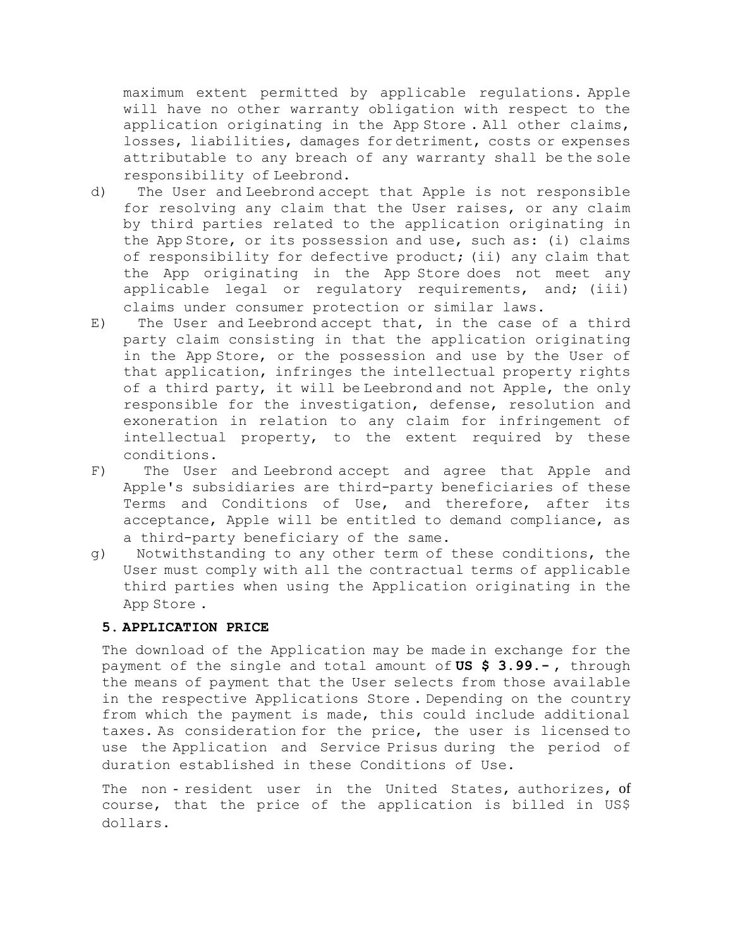maximum extent permitted by applicable regulations. Apple will have no other warranty obligation with respect to the application originating in the App Store . All other claims, losses, liabilities, damages for detriment, costs or expenses attributable to any breach of any warranty shall be the sole responsibility of Leebrond.

- d) The User and Leebrond accept that Apple is not responsible for resolving any claim that the User raises, or any claim by third parties related to the application originating in the App Store, or its possession and use, such as: (i) claims of responsibility for defective product; (ii) any claim that the App originating in the App Store does not meet any applicable legal or regulatory requirements, and; (iii) claims under consumer protection or similar laws.
- E) The User and Leebrond accept that, in the case of a third party claim consisting in that the application originating in the App Store, or the possession and use by the User of that application, infringes the intellectual property rights of a third party, it will be Leebrond and not Apple, the only responsible for the investigation, defense, resolution and exoneration in relation to any claim for infringement of intellectual property, to the extent required by these conditions.
- F) The User and Leebrond accept and agree that Apple and Apple's subsidiaries are third-party beneficiaries of these Terms and Conditions of Use, and therefore, after its acceptance, Apple will be entitled to demand compliance, as a third-party beneficiary of the same.
- g) Notwithstanding to any other term of these conditions, the User must comply with all the contractual terms of applicable third parties when using the Application originating in the App Store .

### **5. APPLICATION PRICE**

The download of the Application may be made in exchange for the payment of the single and total amount of **US \$ 3.99.-** , through the means of payment that the User selects from those available in the respective Applications Store . Depending on the country from which the payment is made, this could include additional taxes. As consideration for the price, the user is licensed to use the Application and Service Prisus during the period of duration established in these Conditions of Use.

The non - resident user in the United States, authorizes, of course, that the price of the application is billed in US\$ dollars.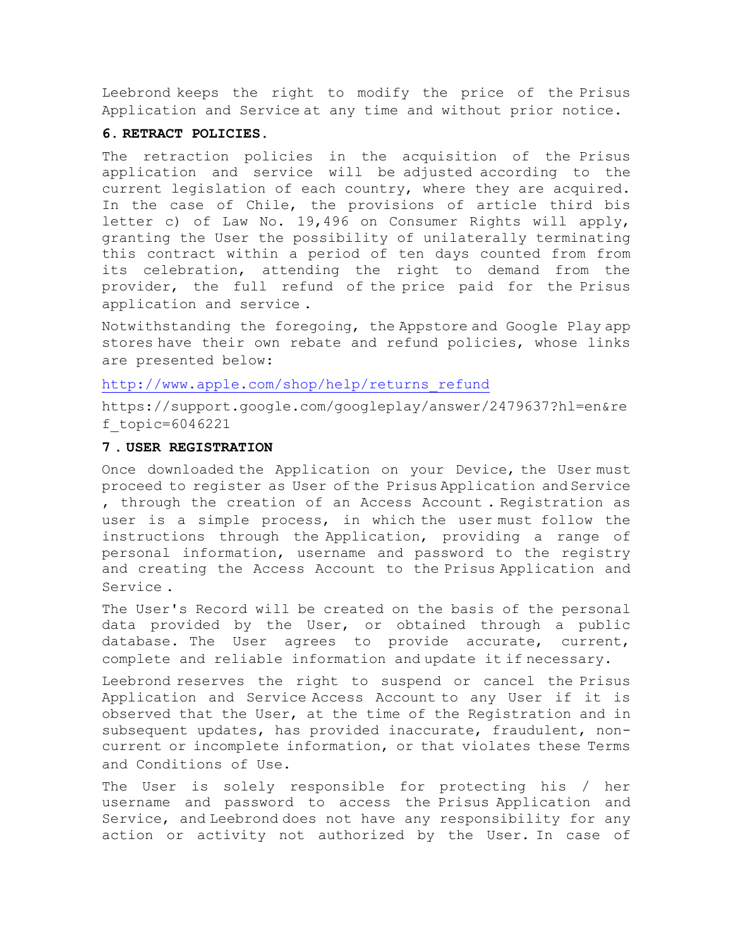Leebrond keeps the right to modify the price of the Prisus Application and Service at any time and without prior notice.

### **6. RETRACT POLICIES.**

The retraction policies in the acquisition of the Prisus application and service will be adjusted according to the current legislation of each country, where they are acquired. In the case of Chile, the provisions of article third bis letter c) of Law No. 19,496 on Consumer Rights will apply, granting the User the possibility of unilaterally terminating this contract within a period of ten days counted from from its celebration, attending the right to demand from the provider, the full refund of the price paid for the Prisus application and service .

Notwithstanding the foregoing, the Appstore and Google Play app stores have their own rebate and refund policies, whose links are presented below:

[http://www.apple.com/shop/help/returns\\_refund](https://translate.google.com/translate?hl=es&prev=_t&sl=es&tl=en&u=http://www.apple.com/shop/help/returns_refund)

https://support.google.com/googleplay/answer/2479637?hl=en&re f\_topic=6046221

# **7 . USER REGISTRATION**

Once downloaded the Application on your Device, the User must proceed to register as User of the Prisus Application and Service , through the creation of an Access Account . Registration as user is a simple process, in which the user must follow the instructions through the Application, providing a range of personal information, username and password to the registry and creating the Access Account to the Prisus Application and Service .

The User's Record will be created on the basis of the personal data provided by the User, or obtained through a public database. The User agrees to provide accurate, current, complete and reliable information and update it if necessary.

Leebrond reserves the right to suspend or cancel the Prisus Application and Service Access Account to any User if it is observed that the User, at the time of the Registration and in subsequent updates, has provided inaccurate, fraudulent, noncurrent or incomplete information, or that violates these Terms and Conditions of Use.

The User is solely responsible for protecting his / her username and password to access the Prisus Application and Service, and Leebrond does not have any responsibility for any action or activity not authorized by the User. In case of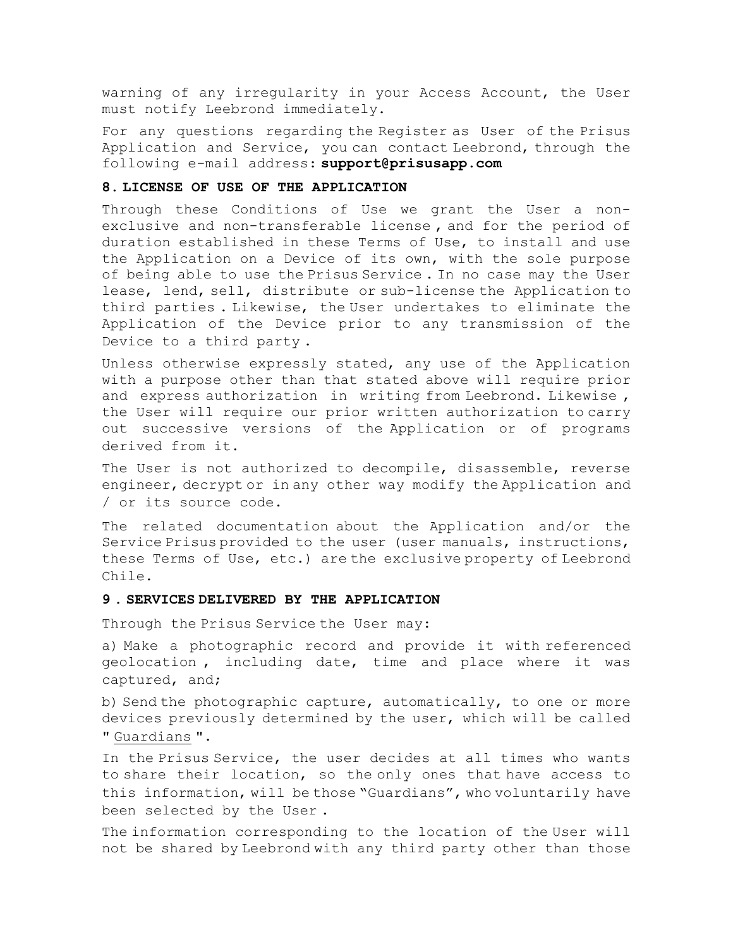warning of any irregularity in your Access Account, the User must notify Leebrond immediately.

For any questions regarding the Register as User of the Prisus Application and Service, you can contact Leebrond, through the following e-mail address: **support@prisusapp.com**

#### **8. LICENSE OF USE OF THE APPLICATION**

Through these Conditions of Use we grant the User a nonexclusive and non-transferable license , and for the period of duration established in these Terms of Use, to install and use the Application on a Device of its own, with the sole purpose of being able to use the Prisus Service . In no case may the User lease, lend, sell, distribute or sub-license the Application to third parties . Likewise, the User undertakes to eliminate the Application of the Device prior to any transmission of the Device to a third party .

Unless otherwise expressly stated, any use of the Application with a purpose other than that stated above will require prior and express authorization in writing from Leebrond. Likewise , the User will require our prior written authorization to carry out successive versions of the Application or of programs derived from it.

The User is not authorized to decompile, disassemble, reverse engineer, decrypt or in any other way modify the Application and / or its source code.

The related documentation about the Application and/or the Service Prisus provided to the user (user manuals, instructions, these Terms of Use, etc.) are the exclusive property of Leebrond Chile.

### **9 . SERVICES DELIVERED BY THE APPLICATION**

Through the Prisus Service the User may:

a) Make a photographic record and provide it with referenced geolocation , including date, time and place where it was captured, and;

b) Send the photographic capture, automatically, to one or more devices previously determined by the user, which will be called " Guardians ".

In the Prisus Service, the user decides at all times who wants to share their location, so the only ones that have access to this information, will be those "Guardians", who voluntarily have been selected by the User .

The information corresponding to the location of the User will not be shared by Leebrond with any third party other than those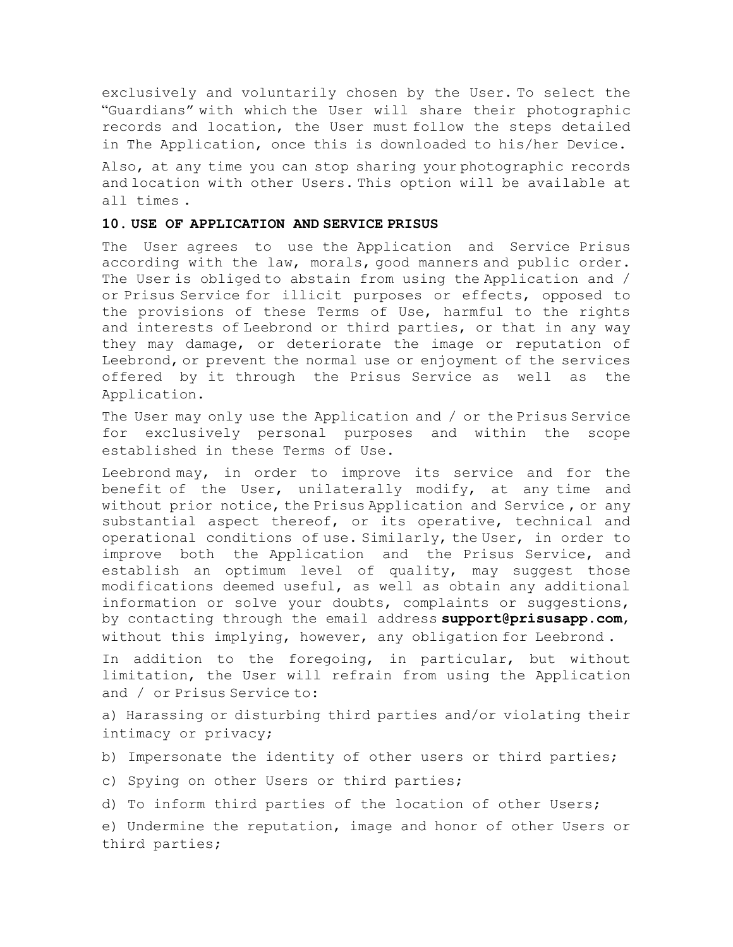exclusively and voluntarily chosen by the User. To select the "Guardians" with which the User will share their photographic records and location, the User must follow the steps detailed in The Application, once this is downloaded to his/her Device.

Also, at any time you can stop sharing your photographic records and location with other Users. This option will be available at all times .

## **10. USE OF APPLICATION AND SERVICE PRISUS**

The User agrees to use the Application and Service Prisus according with the law, morals, good manners and public order. The User is obliged to abstain from using the Application and / or Prisus Service for illicit purposes or effects, opposed to the provisions of these Terms of Use, harmful to the rights and interests of Leebrond or third parties, or that in any way they may damage, or deteriorate the image or reputation of Leebrond, or prevent the normal use or enjoyment of the services offered by it through the Prisus Service as well as the Application.

The User may only use the Application and / or the Prisus Service for exclusively personal purposes and within the scope established in these Terms of Use.

Leebrond may, in order to improve its service and for the benefit of the User, unilaterally modify, at any time and without prior notice, the Prisus Application and Service , or any substantial aspect thereof, or its operative, technical and operational conditions of use. Similarly, the User, in order to improve both the Application and the Prisus Service, and establish an optimum level of quality, may suggest those modifications deemed useful, as well as obtain any additional information or solve your doubts, complaints or suggestions, by contacting through the email address **support@prisusapp.com**, without this implying, however, any obligation for Leebrond .

In addition to the foregoing, in particular, but without limitation, the User will refrain from using the Application and / or Prisus Service to:

a) Harassing or disturbing third parties and/or violating their intimacy or privacy;

- b) Impersonate the identity of other users or third parties;
- c) Spying on other Users or third parties;

d) To inform third parties of the location of other Users;

e) Undermine the reputation, image and honor of other Users or third parties;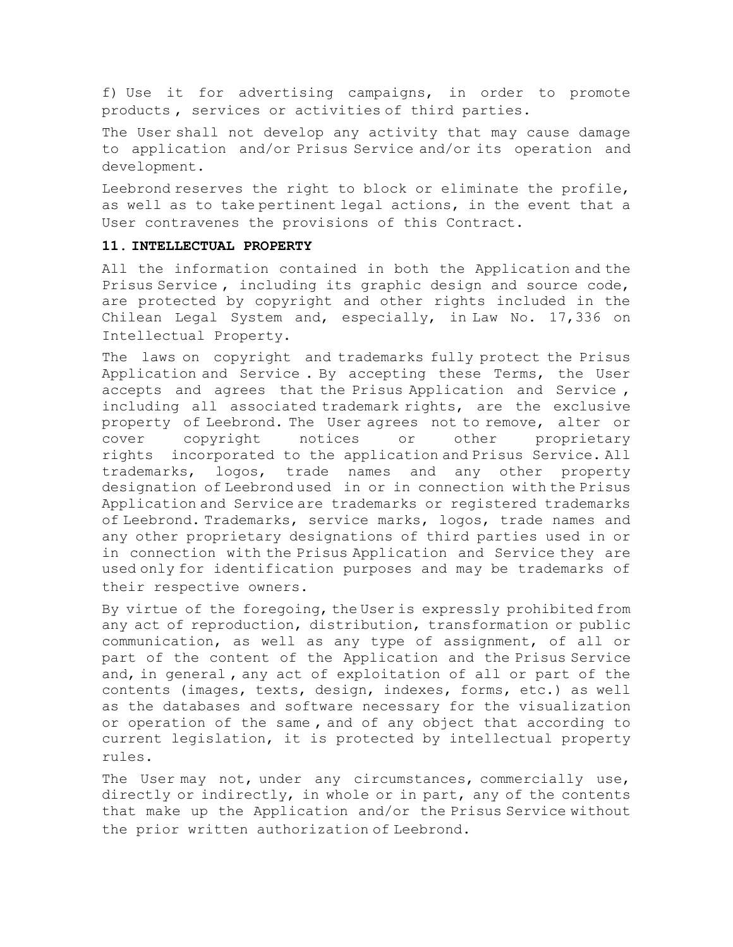f) Use it for advertising campaigns, in order to promote products , services or activities of third parties.

The User shall not develop any activity that may cause damage to application and/or Prisus Service and/or its operation and development.

Leebrond reserves the right to block or eliminate the profile, as well as to take pertinent legal actions, in the event that a User contravenes the provisions of this Contract.

## **11. INTELLECTUAL PROPERTY**

All the information contained in both the Application and the Prisus Service , including its graphic design and source code, are protected by copyright and other rights included in the Chilean Legal System and, especially, in Law No. 17,336 on Intellectual Property.

The laws on copyright and trademarks fully protect the Prisus Application and Service . By accepting these Terms, the User accepts and agrees that the Prisus Application and Service , including all associated trademark rights, are the exclusive property of Leebrond. The User agrees not to remove, alter or cover copyright notices or other proprietary rights incorporated to the application and Prisus Service. All trademarks, logos, trade names and any other property designation of Leebrond used in or in connection with the Prisus Application and Service are trademarks or registered trademarks of Leebrond. Trademarks, service marks, logos, trade names and any other proprietary designations of third parties used in or in connection with the Prisus Application and Service they are used only for identification purposes and may be trademarks of their respective owners.

By virtue of the foregoing, the User is expressly prohibited from any act of reproduction, distribution, transformation or public communication, as well as any type of assignment, of all or part of the content of the Application and the Prisus Service and, in general , any act of exploitation of all or part of the contents (images, texts, design, indexes, forms, etc.) as well as the databases and software necessary for the visualization or operation of the same , and of any object that according to current legislation, it is protected by intellectual property rules.

The User may not, under any circumstances, commercially use, directly or indirectly, in whole or in part, any of the contents that make up the Application and/or the Prisus Service without the prior written authorization of Leebrond.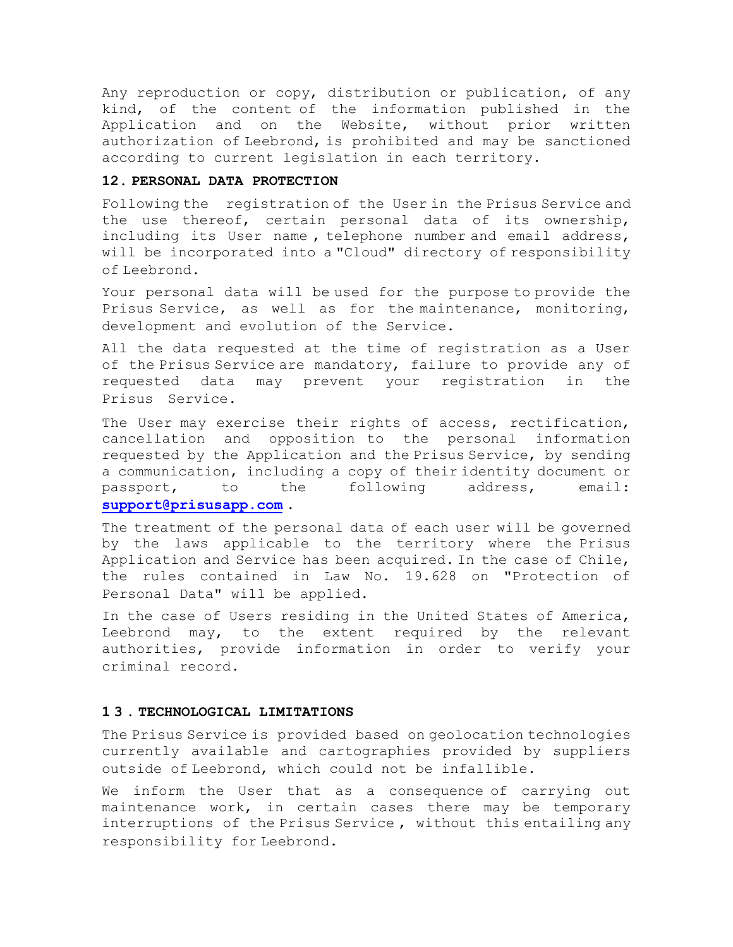Any reproduction or copy, distribution or publication, of any kind, of the content of the information published in the Application and on the Website, without prior written authorization of Leebrond, is prohibited and may be sanctioned according to current legislation in each territory.

## **12. PERSONAL DATA PROTECTION**

Following the registration of the User in the Prisus Service and the use thereof, certain personal data of its ownership, including its User name , telephone number and email address, will be incorporated into a "Cloud" directory of responsibility of Leebrond.

Your personal data will be used for the purpose to provide the Prisus Service, as well as for the maintenance, monitoring, development and evolution of the Service.

All the data requested at the time of registration as a User of the Prisus Service are mandatory, failure to provide any of requested data may prevent your registration in the Prisus Service.

The User may exercise their rights of access, rectification, cancellation and opposition to the personal information requested by the Application and the Prisus Service, by sending a communication, including a copy of their identity document or passport, to the following address, email: **[support@prisusapp.com](mailto:support@prisusapp.com)** .

The treatment of the personal data of each user will be governed by the laws applicable to the territory where the Prisus Application and Service has been acquired. In the case of Chile, the rules contained in Law No. 19.628 on "Protection of Personal Data" will be applied.

In the case of Users residing in the United States of America, Leebrond may, to the extent required by the relevant authorities, provide information in order to verify your criminal record.

## **1 3 . TECHNOLOGICAL LIMITATIONS**

The Prisus Service is provided based on geolocation technologies currently available and cartographies provided by suppliers outside of Leebrond, which could not be infallible.

We inform the User that as a consequence of carrying out maintenance work, in certain cases there may be temporary interruptions of the Prisus Service , without this entailing any responsibility for Leebrond.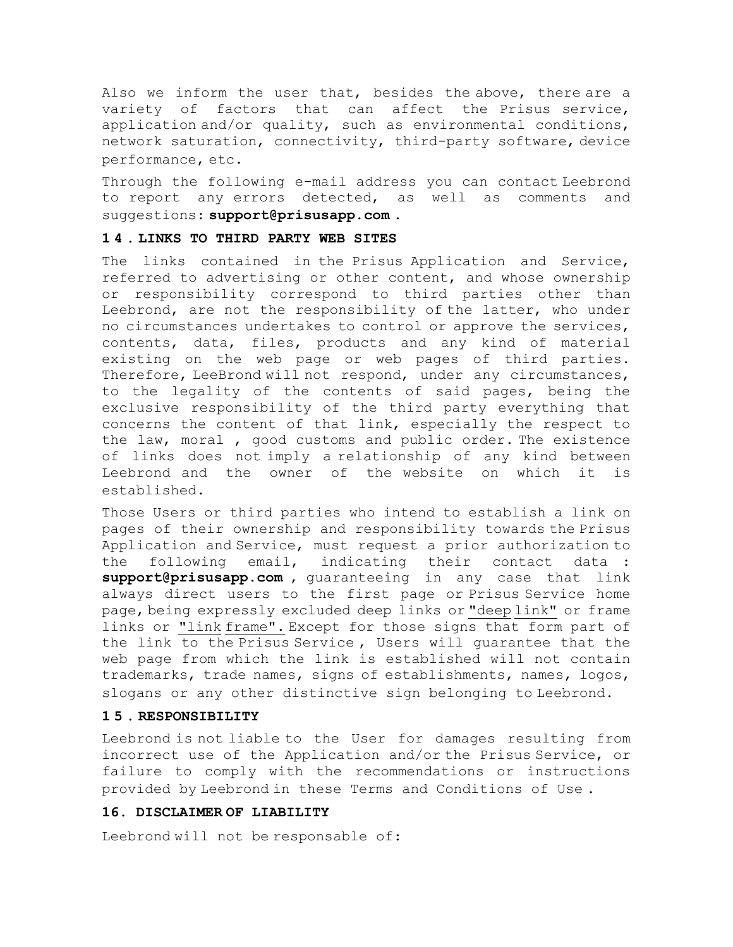Also we inform the user that, besides the above, there are a variety of factors that can affect the Prisus service, application and/or quality, such as environmental conditions, network saturation, connectivity, third-party software, device performance, etc.

Through the following e-mail address you can contact Leebrond to report any errors detected, as well as comments and suggestions: **support@prisusapp.com** .

## **1 4 . LINKS TO THIRD PARTY WEB SITES**

The links contained in the Prisus Application and Service, referred to advertising or other content, and whose ownership or responsibility correspond to third parties other than Leebrond, are not the responsibility of the latter, who under no circumstances undertakes to control or approve the services, contents, data, files, products and any kind of material existing on the web page or web pages of third parties. Therefore, LeeBrond will not respond, under any circumstances, to the legality of the contents of said pages, being the exclusive responsibility of the third party everything that concerns the content of that link, especially the respect to the law, moral , good customs and public order. The existence of links does not imply a relationship of any kind between Leebrond and the owner of the website on which it is established.

Those Users or third parties who intend to establish a link on pages of their ownership and responsibility towards the Prisus Application and Service, must request a prior authorization to the following email, indicating their contact data : **support@prisusapp.com** , guaranteeing in any case that link always direct users to the first page or Prisus Service home page, being expressly excluded deep links or "deep link" or frame links or "link frame". Except for those signs that form part of the link to the Prisus Service , Users will guarantee that the web page from which the link is established will not contain trademarks, trade names, signs of establishments, names, logos, slogans or any other distinctive sign belonging to Leebrond.

#### **1 5 . RESPONSIBILITY**

Leebrond is not liable to the User for damages resulting from incorrect use of the Application and/or the Prisus Service, or failure to comply with the recommendations or instructions provided by Leebrond in these Terms and Conditions of Use .

### **16. DISCLAIMER OF LIABILITY**

Leebrond will not be responsable of: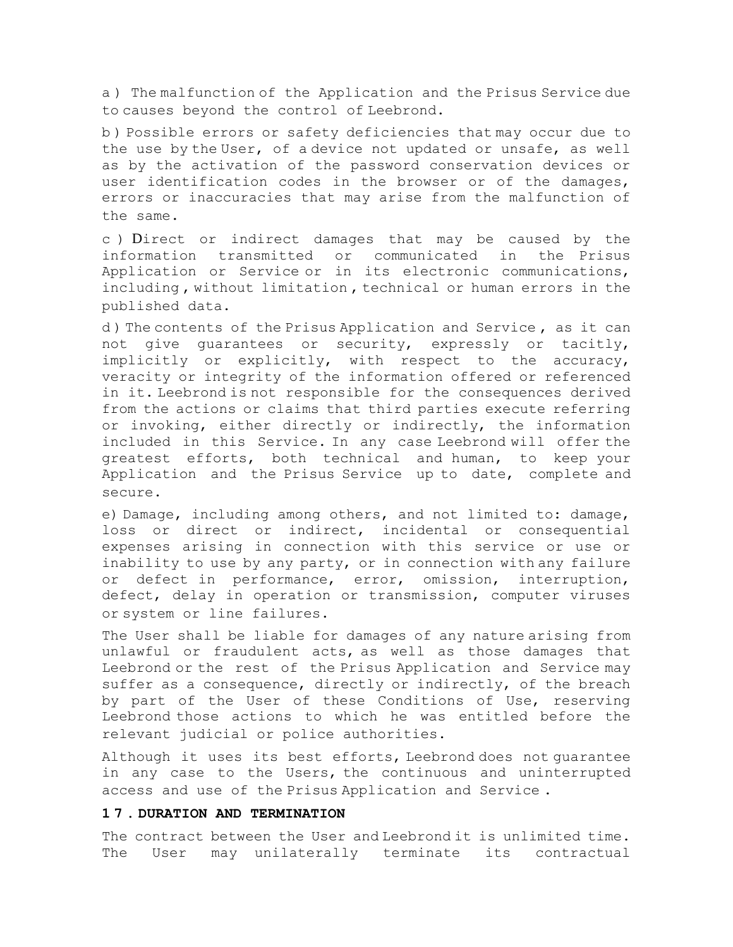a ) The malfunction of the Application and the Prisus Service due to causes beyond the control of Leebrond.

b ) Possible errors or safety deficiencies that may occur due to the use by the User, of a device not updated or unsafe, as well as by the activation of the password conservation devices or user identification codes in the browser or of the damages, errors or inaccuracies that may arise from the malfunction of the same.

c ) Direct or indirect damages that may be caused by the information transmitted or communicated in the Prisus Application or Service or in its electronic communications, including , without limitation , technical or human errors in the published data.

d ) The contents of the Prisus Application and Service , as it can not give guarantees or security, expressly or tacitly, implicitly or explicitly, with respect to the accuracy, veracity or integrity of the information offered or referenced in it. Leebrond is not responsible for the consequences derived from the actions or claims that third parties execute referring or invoking, either directly or indirectly, the information included in this Service. In any case Leebrond will offer the greatest efforts, both technical and human, to keep your Application and the Prisus Service up to date, complete and secure.

e) Damage, including among others, and not limited to: damage, loss or direct or indirect, incidental or consequential expenses arising in connection with this service or use or inability to use by any party, or in connection with any failure or defect in performance, error, omission, interruption, defect, delay in operation or transmission, computer viruses or system or line failures.

The User shall be liable for damages of any nature arising from unlawful or fraudulent acts, as well as those damages that Leebrond or the rest of the Prisus Application and Service may suffer as a consequence, directly or indirectly, of the breach by part of the User of these Conditions of Use, reserving Leebrond those actions to which he was entitled before the relevant judicial or police authorities.

Although it uses its best efforts, Leebrond does not guarantee in any case to the Users, the continuous and uninterrupted access and use of the Prisus Application and Service .

## **1 7 . DURATION AND TERMINATION**

The contract between the User and Leebrond it is unlimited time. The User may unilaterally terminate its contractual